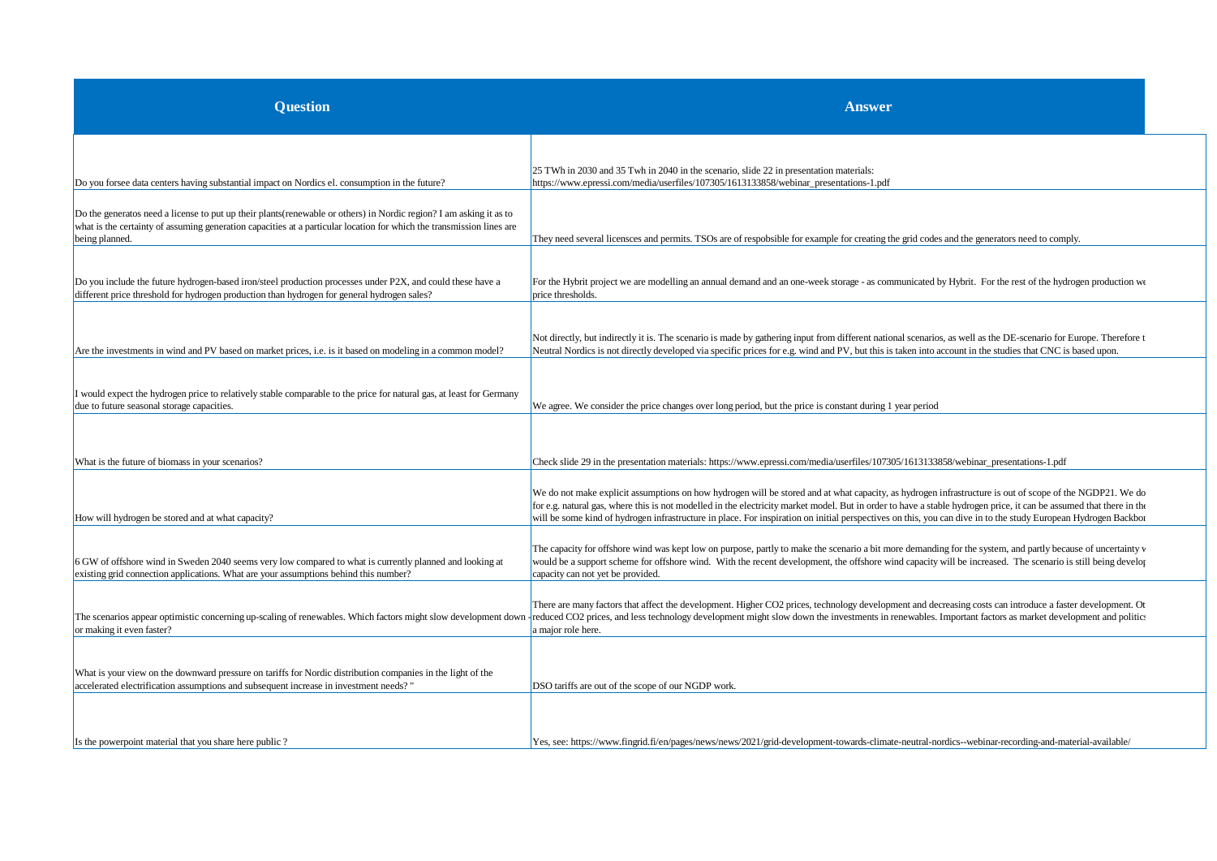| <b>Question</b>                                                                                                                                                                                                                                                | <b>Answer</b>                                                                                                                                                                                                                                                                                                                                                                                                                                                                                     |  |
|----------------------------------------------------------------------------------------------------------------------------------------------------------------------------------------------------------------------------------------------------------------|---------------------------------------------------------------------------------------------------------------------------------------------------------------------------------------------------------------------------------------------------------------------------------------------------------------------------------------------------------------------------------------------------------------------------------------------------------------------------------------------------|--|
| Do you forsee data centers having substantial impact on Nordics el. consumption in the future?                                                                                                                                                                 | 25 TWh in 2030 and 35 Twh in 2040 in the scenario, slide 22 in presentation materials:<br>https://www.epressi.com/media/userfiles/107305/1613133858/webinar_presentations-1.pdf                                                                                                                                                                                                                                                                                                                   |  |
| Do the generatos need a license to put up their plants (renewable or others) in Nordic region? I am asking it as to<br>what is the certainty of assuming generation capacities at a particular location for which the transmission lines are<br>being planned. | They need several licensces and permits. TSOs are of respobsible for example for creating the grid codes and the generators need to comply.                                                                                                                                                                                                                                                                                                                                                       |  |
| Do you include the future hydrogen-based iron/steel production processes under P2X, and could these have a<br>different price threshold for hydrogen production than hydrogen for general hydrogen sales?                                                      | For the Hybrit project we are modelling an annual demand and an one-week storage - as communicated by Hybrit. For the rest of the hydrogen production we<br>price thresholds.                                                                                                                                                                                                                                                                                                                     |  |
| Are the investments in wind and PV based on market prices, i.e. is it based on modeling in a common model?                                                                                                                                                     | Not directly, but indirectly it is. The scenario is made by gathering input from different national scenarios, as well as the DE-scenario for Europe. Therefore t<br>Neutral Nordics is not directly developed via specific prices for e.g. wind and PV, but this is taken into account in the studies that CNC is based upon.                                                                                                                                                                    |  |
| I would expect the hydrogen price to relatively stable comparable to the price for natural gas, at least for Germany<br>due to future seasonal storage capacities.                                                                                             | We agree. We consider the price changes over long period, but the price is constant during 1 year period                                                                                                                                                                                                                                                                                                                                                                                          |  |
| What is the future of biomass in your scenarios?                                                                                                                                                                                                               | Check slide 29 in the presentation materials: https://www.epressi.com/media/userfiles/107305/1613133858/webinar_presentations-1.pdf                                                                                                                                                                                                                                                                                                                                                               |  |
| How will hydrogen be stored and at what capacity?                                                                                                                                                                                                              | We do not make explicit assumptions on how hydrogen will be stored and at what capacity, as hydrogen infrastructure is out of scope of the NGDP21. We do<br>for e.g. natural gas, where this is not modelled in the electricity market model. But in order to have a stable hydrogen price, it can be assumed that there in the<br>will be some kind of hydrogen infrastructure in place. For inspiration on initial perspectives on this, you can dive in to the study European Hydrogen Backbor |  |
| 6 GW of offshore wind in Sweden 2040 seems very low compared to what is currently planned and looking at<br>existing grid connection applications. What are your assumptions behind this number?                                                               | The capacity for offshore wind was kept low on purpose, partly to make the scenario a bit more demanding for the system, and partly because of uncertainty v<br>would be a support scheme for offshore wind. With the recent development, the offshore wind capacity will be increased. The scenario is still being develop<br>capacity can not yet be provided.                                                                                                                                  |  |
| The scenarios appear optimistic concerning up-scaling of renewables. Which factors might slow development down<br>or making it even faster?                                                                                                                    | There are many factors that affect the development. Higher CO2 prices, technology development and decreasing costs can introduce a faster development. Other<br>reduced CO2 prices, and less technology development might slow down the investments in renewables. Important factors as market development and politici<br>a major role here.                                                                                                                                                     |  |
| What is your view on the downward pressure on tariffs for Nordic distribution companies in the light of the<br>accelerated electrification assumptions and subsequent increase in investment needs?"                                                           | DSO tariffs are out of the scope of our NGDP work.                                                                                                                                                                                                                                                                                                                                                                                                                                                |  |
| Is the powerpoint material that you share here public?                                                                                                                                                                                                         | Yes, see: https://www.fingrid.fi/en/pages/news/news/2021/grid-development-towards-climate-neutral-nordics--webinar-recording-and-material-available/                                                                                                                                                                                                                                                                                                                                              |  |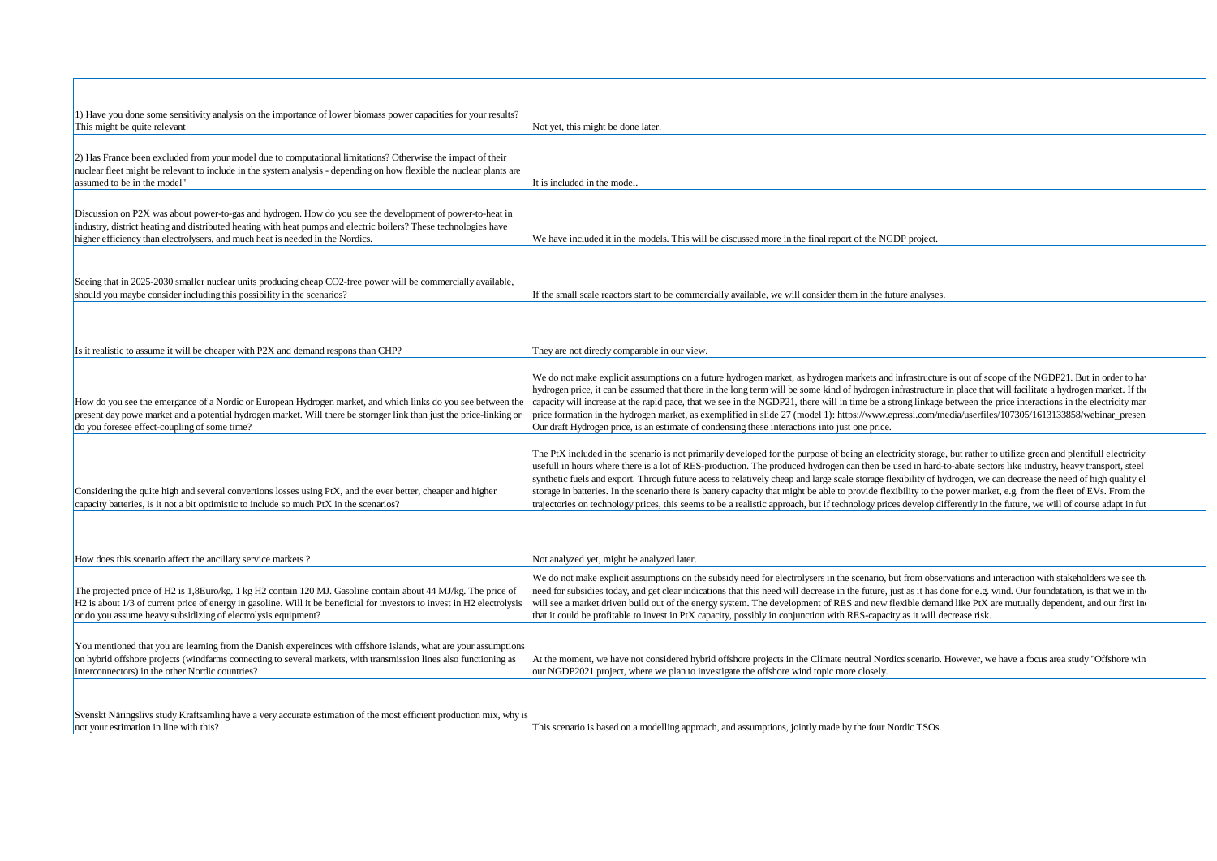| 1) Have you done some sensitivity analysis on the importance of lower biomass power capacities for your results?<br>This might be quite relevant                                                                                                                                                               | Not yet, this might be done later.                                                                                                                                                                                                                                                                                                                                                                                                                                                                                                                                                                                                                                                                                                                                                                                                                        |
|----------------------------------------------------------------------------------------------------------------------------------------------------------------------------------------------------------------------------------------------------------------------------------------------------------------|-----------------------------------------------------------------------------------------------------------------------------------------------------------------------------------------------------------------------------------------------------------------------------------------------------------------------------------------------------------------------------------------------------------------------------------------------------------------------------------------------------------------------------------------------------------------------------------------------------------------------------------------------------------------------------------------------------------------------------------------------------------------------------------------------------------------------------------------------------------|
| 2) Has France been excluded from your model due to computational limitations? Otherwise the impact of their<br>nuclear fleet might be relevant to include in the system analysis - depending on how flexible the nuclear plants are<br>assumed to be in the model"                                             | It is included in the model                                                                                                                                                                                                                                                                                                                                                                                                                                                                                                                                                                                                                                                                                                                                                                                                                               |
| Discussion on P2X was about power-to-gas and hydrogen. How do you see the development of power-to-heat in<br>industry, district heating and distributed heating with heat pumps and electric boilers? These technologies have<br>higher efficiency than electrolysers, and much heat is needed in the Nordics. | We have included it in the models. This will be discussed more in the final report of the NGDP project.                                                                                                                                                                                                                                                                                                                                                                                                                                                                                                                                                                                                                                                                                                                                                   |
| Seeing that in 2025-2030 smaller nuclear units producing cheap CO2-free power will be commercially available,<br>should you maybe consider including this possibility in the scenarios?                                                                                                                        | If the small scale reactors start to be commercially available, we will consider them in the future analyses.                                                                                                                                                                                                                                                                                                                                                                                                                                                                                                                                                                                                                                                                                                                                             |
| Is it realistic to assume it will be cheaper with P2X and demand respons than CHP?                                                                                                                                                                                                                             | They are not direcly comparable in our view.                                                                                                                                                                                                                                                                                                                                                                                                                                                                                                                                                                                                                                                                                                                                                                                                              |
| How do you see the emergance of a Nordic or European Hydrogen market, and which links do you see between the<br>present day powe market and a potential hydrogen market. Will there be stornger link than just the price-linking or<br>do you foresee effect-coupling of some time?                            | We do not make explicit assumptions on a future hydrogen market, as hydrogen markets and infrastructure is out of scope of the NGDP21. But in order to ha<br>hydrogen price, it can be assumed that there in the long term will be some kind of hydrogen infrastructure in place that will facilitate a hydrogen market. If the<br>capacity will increase at the rapid pace, that we see in the NGDP21, there will in time be a strong linkage between the price interactions in the electricity man<br>price formation in the hydrogen market, as exemplified in slide 27 (model 1): https://www.epressi.com/media/userfiles/107305/1613133858/webinar presen<br>Our draft Hydrogen price, is an estimate of condensing these interactions into just one price.                                                                                          |
| Considering the quite high and several convertions losses using PtX, and the ever better, cheaper and higher<br>capacity batteries, is it not a bit optimistic to include so much PtX in the scenarios?                                                                                                        | The PtX included in the scenario is not primarily developed for the purpose of being an electricity storage, but rather to utilize green and plentifull electricity<br>usefull in hours where there is a lot of RES-production. The produced hydrogen can then be used in hard-to-abate sectors like industry, heavy transport, steel<br>synthetic fuels and export. Through future acess to relatively cheap and large scale storage flexibility of hydrogen, we can decrease the need of high quality el<br>storage in batteries. In the scenario there is battery capacity that might be able to provide flexibility to the power market, e.g. from the fleet of EVs. From the<br>trajectories on technology prices, this seems to be a realistic approach, but if technology prices develop differently in the future, we will of course adapt in fut |
| How does this scenario affect the ancillary service markets?                                                                                                                                                                                                                                                   | Not analyzed yet, might be analyzed later.                                                                                                                                                                                                                                                                                                                                                                                                                                                                                                                                                                                                                                                                                                                                                                                                                |
| The projected price of H2 is 1,8Euro/kg. 1 kg H2 contain 120 MJ. Gasoline contain about 44 MJ/kg. The price of<br>H2 is about 1/3 of current price of energy in gasoline. Will it be beneficial for investors to invest in H2 electrolysis<br>or do you assume heavy subsidizing of electrolysis equipment?    | We do not make explicit assumptions on the subsidy need for electrolysers in the scenario, but from observations and interaction with stakeholders we see the<br>need for subsidies today, and get clear indications that this need will decrease in the future, just as it has done for e.g. wind. Our foundatation, is that we in th<br>will see a market driven build out of the energy system. The development of RES and new flexible demand like PtX are mutually dependent, and our first in<br>that it could be profitable to invest in PtX capacity, possibly in conjunction with RES-capacity as it will decrease risk.                                                                                                                                                                                                                         |
| You mentioned that you are learning from the Danish expereinces with offshore islands, what are your assumptions<br>on hybrid offshore projects (windfarms connecting to several markets, with transmission lines also functioning as<br>interconnectors) in the other Nordic countries?                       | At the moment, we have not considered hybrid offshore projects in the Climate neutral Nordics scenario. However, we have a focus area study "Offshore win<br>our NGDP2021 project, where we plan to investigate the offshore wind topic more closely.                                                                                                                                                                                                                                                                                                                                                                                                                                                                                                                                                                                                     |
| Svenskt Näringslivs study Kraftsamling have a very accurate estimation of the most efficient production mix, why is<br>not your estimation in line with this?                                                                                                                                                  | This scenario is based on a modelling approach, and assumptions, jointly made by the four Nordic TSOs.                                                                                                                                                                                                                                                                                                                                                                                                                                                                                                                                                                                                                                                                                                                                                    |